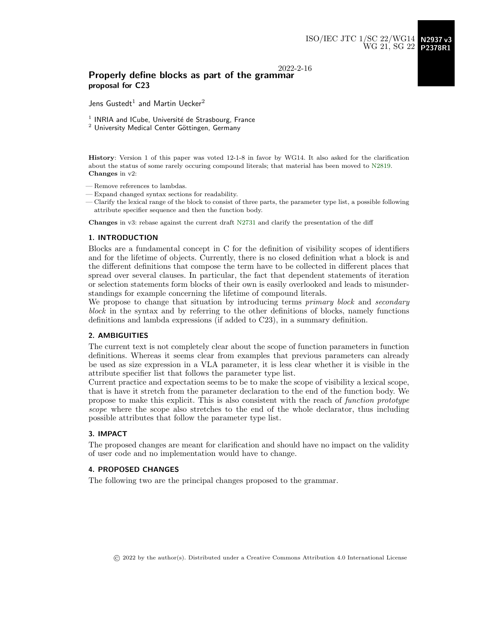## 2022-2-16

# Properly define blocks as part of the grammar proposal for C23

Jens Gustedt $^1$  and Martin Uecker $^2$ 

 $1$  INRIA and ICube, Université de Strasbourg, France

 $2$  University Medical Center Göttingen, Germany

History: Version 1 of this paper was voted 12-1-8 in favor by WG14. It also asked for the clarification about the status of some rarely occuring compound literals; that material has been moved to [N2819.](http://www.open-std.org/jtc1/sc22/wg14/www/docs/n2819.pdf) Changes in v2:

- Remove references to lambdas.
- Expand changed syntax sections for readability.
- Clarify the lexical range of the block to consist of three parts, the parameter type list, a possible following attribute specifier sequence and then the function body.

Changes in v3: rebase against the current draft [N2731](http://www.open-std.org/jtc1/sc22/wg14/www/docs/n2731.pdf) and clarify the presentation of the diff

#### 1. INTRODUCTION

Blocks are a fundamental concept in C for the definition of visibility scopes of identifiers and for the lifetime of objects. Currently, there is no closed definition what a block is and the different definitions that compose the term have to be collected in different places that spread over several clauses. In particular, the fact that dependent statements of iteration or selection statements form blocks of their own is easily overlooked and leads to misunderstandings for example concerning the lifetime of compound literals.

We propose to change that situation by introducing terms *primary block* and *secondary* block in the syntax and by referring to the other definitions of blocks, namely functions definitions and lambda expressions (if added to C23), in a summary definition.

## 2. AMBIGUITIES

The current text is not completely clear about the scope of function parameters in function definitions. Whereas it seems clear from examples that previous parameters can already be used as size expression in a VLA parameter, it is less clear whether it is visible in the attribute specifier list that follows the parameter type list.

Current practice and expectation seems to be to make the scope of visibility a lexical scope, that is have it stretch from the parameter declaration to the end of the function body. We propose to make this explicit. This is also consistent with the reach of function prototype scope where the scope also stretches to the end of the whole declarator, thus including possible attributes that follow the parameter type list.

## 3. IMPACT

The proposed changes are meant for clarification and should have no impact on the validity of user code and no implementation would have to change.

## 4. PROPOSED CHANGES

The following two are the principal changes proposed to the grammar.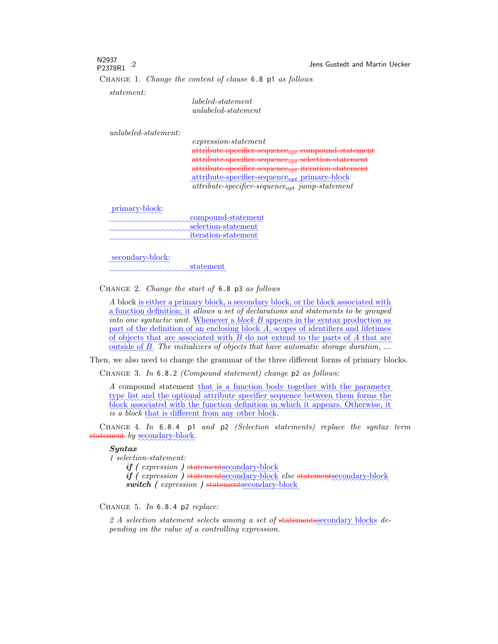N2937<br>P2378R1 :2 Jens Gustedt and Martin Uecker Change 1. Change the content of clause 6.8 p1 as follows

statement:

labeled-statement unlabeled-statement

unlabeled-statement:

expression-statement  $\text{attribute-specific}$ r-sequence<sub>opt</sub> compound-statement  $\mathrm{attribute\text{-}specific\text{-}sequence}_{opt}$  selection-statement  $\frac{attribute-specific resourceof_{out}}{iteration-statement}$ ✿✿✿✿✿✿✿✿✿✿✿✿✿✿✿✿✿✿✿✿✿✿✿✿✿✿✿ attribute-specifier-sequenceopt ✿✿✿✿✿✿✿✿✿✿✿✿ primary-block  $attribute\text{-}specific\text{-}sequence_{opt}\text{-}jump\text{-}statement$ 

primary-block:

| compound-statement         |
|----------------------------|
|                            |
| selection-statement        |
| <i>iteration-statement</i> |
|                            |

secondary-block:

✿✿✿✿✿✿✿✿✿✿✿✿✿✿✿✿✿✿✿✿✿✿✿✿✿✿✿✿✿ statement

Change 2. Change the start of 6.8 p3 as follows

A block is either a primary block, a secondary block, or the block associated with into one syntactic unit. Whenever a block B appears in the syntax production as a function definition; it allows a set of declarations and statements to be grouped part of the definition of an enclosing block A, scopes of identifiers and lifetimes of objects that are associated with B do not extend to the parts of A that are  $\text{outside of } B$ . The initializers of objects that have automatic storage duration, ...

Then, we also need to change the grammar of the three different forms of primary blocks.

Change 3. In 6.8.2 (Compound statement) change p2 as follows:

A compound statement that is a function body together with the parameter type list and the optional attribute specifier sequence between them forms the block associated with the function definition in which it appears. Otherwise, it is a block that is different from any other block.

CHANGE 4. In  $6.8.4$  p1 and p2 (Selection statements) replace the syntax term statement by secondary-block.

#### Syntax

1 selection-statement:

if ( expression ) statementsecondary-block

 $if$  ( expression ) statementsecondary-block else statementsecondary-block switch ( expression ) statement secondary-block

CHANGE 5. In  $6.8.4$  p2 replace:

2 A selection statement selects among a set of statements secondary blocks depending on the value of a controlling expression.